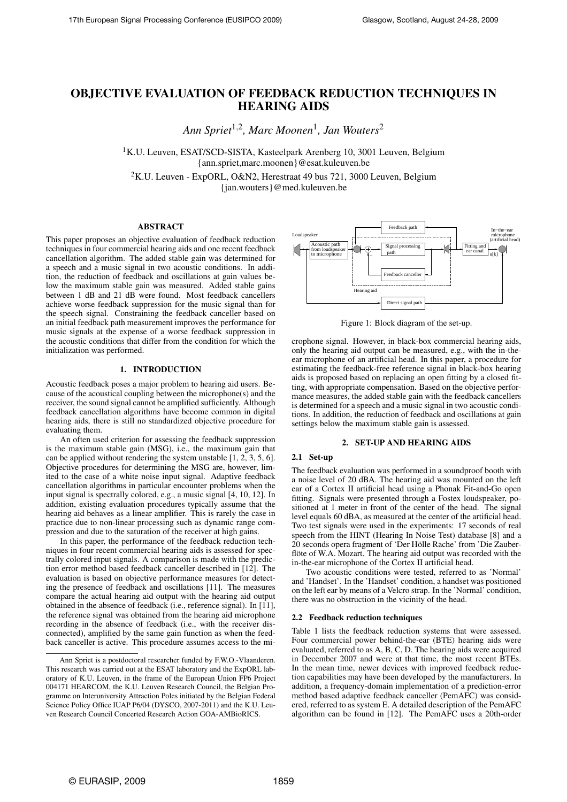# OBJECTIVE EVALUATION OF FEEDBACK REDUCTION TECHNIQUES IN HEARING AIDS

*Ann Spriet*1,<sup>2</sup> *, Marc Moonen*<sup>1</sup> *, Jan Wouters*<sup>2</sup>

<sup>1</sup>K.U. Leuven, ESAT/SCD-SISTA, Kasteelpark Arenberg 10, 3001 Leuven, Belgium {ann.spriet,marc.moonen}@esat.kuleuven.be

<sup>2</sup>K.U. Leuven - ExpORL, O&N2, Herestraat 49 bus 721, 3000 Leuven, Belgium {jan.wouters}@med.kuleuven.be

# ABSTRACT

This paper proposes an objective evaluation of feedback reduction techniques in four commercial hearing aids and one recent feedback cancellation algorithm. The added stable gain was determined for a speech and a music signal in two acoustic conditions. In addition, the reduction of feedback and oscillations at gain values below the maximum stable gain was measured. Added stable gains between 1 dB and 21 dB were found. Most feedback cancellers achieve worse feedback suppression for the music signal than for the speech signal. Constraining the feedback canceller based on an initial feedback path measurement improves the performance for music signals at the expense of a worse feedback suppression in the acoustic conditions that differ from the condition for which the initialization was performed.

# 1. INTRODUCTION

Acoustic feedback poses a major problem to hearing aid users. Because of the acoustical coupling between the microphone(s) and the receiver, the sound signal cannot be amplified sufficiently. Although feedback cancellation algorithms have become common in digital hearing aids, there is still no standardized objective procedure for evaluating them.

An often used criterion for assessing the feedback suppression is the maximum stable gain (MSG), i.e., the maximum gain that can be applied without rendering the system unstable [1, 2, 3, 5, 6]. Objective procedures for determining the MSG are, however, limited to the case of a white noise input signal. Adaptive feedback cancellation algorithms in particular encounter problems when the input signal is spectrally colored, e.g., a music signal [4, 10, 12]. In addition, existing evaluation procedures typically assume that the hearing aid behaves as a linear amplifier. This is rarely the case in practice due to non-linear processing such as dynamic range compression and due to the saturation of the receiver at high gains.

In this paper, the performance of the feedback reduction techniques in four recent commercial hearing aids is assessed for spectrally colored input signals. A comparison is made with the prediction error method based feedback canceller described in [12]. The evaluation is based on objective performance measures for detecting the presence of feedback and oscillations [11]. The measures compare the actual hearing aid output with the hearing aid output obtained in the absence of feedback (i.e., reference signal). In [11], the reference signal was obtained from the hearing aid microphone recording in the absence of feedback (i.e., with the receiver disconnected), amplified by the same gain function as when the feedback canceller is active. This procedure assumes access to the mi-



Figure 1: Block diagram of the set-up.

crophone signal. However, in black-box commercial hearing aids, only the hearing aid output can be measured, e.g., with the in-theear microphone of an artificial head. In this paper, a procedure for estimating the feedback-free reference signal in black-box hearing aids is proposed based on replacing an open fitting by a closed fitting, with appropriate compensation. Based on the objective performance measures, the added stable gain with the feedback cancellers is determined for a speech and a music signal in two acoustic conditions. In addition, the reduction of feedback and oscillations at gain settings below the maximum stable gain is assessed.

# 2. SET-UP AND HEARING AIDS

## 2.1 Set-up

The feedback evaluation was performed in a soundproof booth with a noise level of 20 dBA. The hearing aid was mounted on the left ear of a Cortex II artificial head using a Phonak Fit-and-Go open fitting. Signals were presented through a Fostex loudspeaker, positioned at 1 meter in front of the center of the head. The signal level equals 60 dBA, as measured at the center of the artificial head. Two test signals were used in the experiments: 17 seconds of real speech from the HINT (Hearing In Noise Test) database [8] and a 20 seconds opera fragment of 'Der Hölle Rache' from 'Die Zauberflöte of W.A. Mozart. The hearing aid output was recorded with the in-the-ear microphone of the Cortex II artificial head.

Two acoustic conditions were tested, referred to as 'Normal' and 'Handset'. In the 'Handset' condition, a handset was positioned on the left ear by means of a Velcro strap. In the 'Normal' condition, there was no obstruction in the vicinity of the head.

# 2.2 Feedback reduction techniques

Table 1 lists the feedback reduction systems that were assessed. Four commercial power behind-the-ear (BTE) hearing aids were evaluated, referred to as A, B, C, D. The hearing aids were acquired in December 2007 and were at that time, the most recent BTEs. In the mean time, newer devices with improved feedback reduction capabilities may have been developed by the manufacturers. In addition, a frequency-domain implementation of a prediction-error method based adaptive feedback canceller (PemAFC) was considered, referred to as system E. A detailed description of the PemAFC algorithm can be found in [12]. The PemAFC uses a 20th-order

Ann Spriet is a postdoctoral researcher funded by F.W.O.-Vlaanderen. This research was carried out at the ESAT laboratory and the ExpORL laboratory of K.U. Leuven, in the frame of the European Union FP6 Project 004171 HEARCOM, the K.U. Leuven Research Council, the Belgian Programme on Interuniversity Attraction Poles initiated by the Belgian Federal Science Policy Office IUAP P6/04 (DYSCO, 2007-2011) and the K.U. Leuven Research Council Concerted Research Action GOA-AMBioRICS.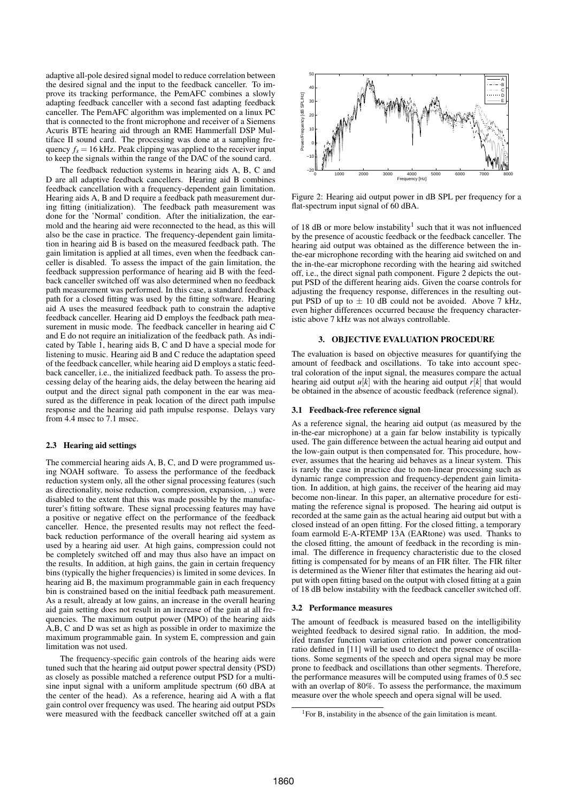adaptive all-pole desired signal model to reduce correlation between the desired signal and the input to the feedback canceller. To improve its tracking performance, the PemAFC combines a slowly adapting feedback canceller with a second fast adapting feedback canceller. The PemAFC algorithm was implemented on a linux PC that is connected to the front microphone and receiver of a Siemens Acuris BTE hearing aid through an RME Hammerfall DSP Multiface II sound card. The processing was done at a sampling frequency  $f_s = 16$  kHz. Peak clipping was applied to the receiver input to keep the signals within the range of the DAC of the sound card.

The feedback reduction systems in hearing aids A, B, C and D are all adaptive feedback cancellers. Hearing aid B combines feedback cancellation with a frequency-dependent gain limitation. Hearing aids A, B and D require a feedback path measurement during fitting (initialization). The feedback path measurement was done for the 'Normal' condition. After the initialization, the earmold and the hearing aid were reconnected to the head, as this will also be the case in practice. The frequency-dependent gain limitation in hearing aid B is based on the measured feedback path. The gain limitation is applied at all times, even when the feedback canceller is disabled. To assess the impact of the gain limitation, the feedback suppression performance of hearing aid B with the feedback canceller switched off was also determined when no feedback path measurement was performed. In this case, a standard feedback path for a closed fitting was used by the fitting software. Hearing aid A uses the measured feedback path to constrain the adaptive feedback canceller. Hearing aid D employs the feedback path measurement in music mode. The feedback canceller in hearing aid C and E do not require an initialization of the feedback path. As indicated by Table 1, hearing aids B, C and D have a special mode for listening to music. Hearing aid B and C reduce the adaptation speed of the feedback canceller, while hearing aid D employs a static feedback canceller, i.e., the initialized feedback path. To assess the processing delay of the hearing aids, the delay between the hearing aid output and the direct signal path component in the ear was measured as the difference in peak location of the direct path impulse response and the hearing aid path impulse response. Delays vary from 4.4 msec to 7.1 msec.

### 2.3 Hearing aid settings

The commercial hearing aids A, B, C, and D were programmed using NOAH software. To assess the performance of the feedback reduction system only, all the other signal processing features (such as directionality, noise reduction, compression, expansion, ..) were disabled to the extent that this was made possible by the manufacturer's fitting software. These signal processing features may have a positive or negative effect on the performance of the feedback canceller. Hence, the presented results may not reflect the feedback reduction performance of the overall hearing aid system as used by a hearing aid user. At high gains, compression could not be completely switched off and may thus also have an impact on the results. In addition, at high gains, the gain in certain frequency bins (typically the higher frequencies) is limited in some devices. In hearing aid B, the maximum programmable gain in each frequency bin is constrained based on the initial feedback path measurement. As a result, already at low gains, an increase in the overall hearing aid gain setting does not result in an increase of the gain at all frequencies. The maximum output power (MPO) of the hearing aids A,B, C and D was set as high as possible in order to maximize the maximum programmable gain. In system E, compression and gain limitation was not used.

The frequency-specific gain controls of the hearing aids were tuned such that the hearing aid output power spectral density (PSD) as closely as possible matched a reference output PSD for a multisine input signal with a uniform amplitude spectrum (60 dBA at the center of the head). As a reference, hearing aid A with a flat gain control over frequency was used. The hearing aid output PSDs were measured with the feedback canceller switched off at a gain



Figure 2: Hearing aid output power in dB SPL per frequency for a flat-spectrum input signal of 60 dBA.

of 18 dB or more below instability<sup>1</sup> such that it was not influenced by the presence of acoustic feedback or the feedback canceller. The hearing aid output was obtained as the difference between the inthe-ear microphone recording with the hearing aid switched on and the in-the-ear microphone recording with the hearing aid switched off, i.e., the direct signal path component. Figure 2 depicts the output PSD of the different hearing aids. Given the coarse controls for adjusting the frequency response, differences in the resulting output PSD of up to  $\pm$  10 dB could not be avoided. Above 7 kHz, even higher differences occurred because the frequency characteristic above 7 kHz was not always controllable.

# 3. OBJECTIVE EVALUATION PROCEDURE

The evaluation is based on objective measures for quantifying the amount of feedback and oscillations. To take into account spectral coloration of the input signal, the measures compare the actual hearing aid output  $u[k]$  with the hearing aid output  $r[k]$  that would be obtained in the absence of acoustic feedback (reference signal).

### 3.1 Feedback-free reference signal

As a reference signal, the hearing aid output (as measured by the in-the-ear microphone) at a gain far below instability is typically used. The gain difference between the actual hearing aid output and the low-gain output is then compensated for. This procedure, however, assumes that the hearing aid behaves as a linear system. This is rarely the case in practice due to non-linear processing such as dynamic range compression and frequency-dependent gain limitation. In addition, at high gains, the receiver of the hearing aid may become non-linear. In this paper, an alternative procedure for estimating the reference signal is proposed. The hearing aid output is recorded at the same gain as the actual hearing aid output but with a closed instead of an open fitting. For the closed fitting, a temporary foam earmold E-A-RTEMP 13A (EARtone) was used. Thanks to the closed fitting, the amount of feedback in the recording is minimal. The difference in frequency characteristic due to the closed fitting is compensated for by means of an FIR filter. The FIR filter is determined as the Wiener filter that estimates the hearing aid output with open fitting based on the output with closed fitting at a gain of 18 dB below instability with the feedback canceller switched off.

### 3.2 Performance measures

The amount of feedback is measured based on the intelligibility weighted feedback to desired signal ratio. In addition, the modifed transfer function variation criterion and power concentration ratio defined in [11] will be used to detect the presence of oscillations. Some segments of the speech and opera signal may be more prone to feedback and oscillations than other segments. Therefore, the performance measures will be computed using frames of 0.5 sec with an overlap of 80%. To assess the performance, the maximum measure over the whole speech and opera signal will be used.

<sup>1</sup>For B, instability in the absence of the gain limitation is meant.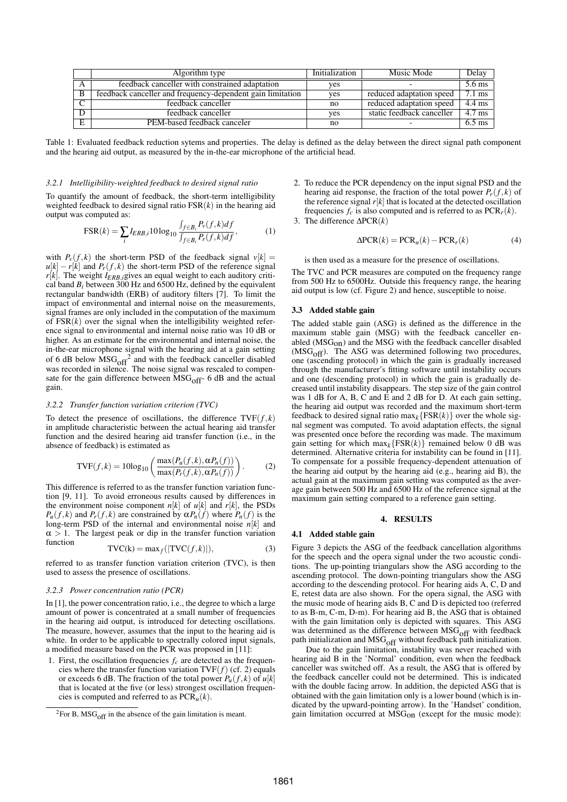|   | Algorithm type                                             | Initialization | Music Mode                | Delav            |
|---|------------------------------------------------------------|----------------|---------------------------|------------------|
|   | feedback canceller with constrained adaptation             | ves            |                           | 5.6 ms           |
|   | feedback canceller and frequency-dependent gain limitation | yes            | reduced adaptation speed  | $7.1 \text{ ms}$ |
|   | feedback canceller                                         | no             | reduced adaptation speed  | 4.4 ms           |
|   | feedback canceller                                         | ves            | static feedback canceller | 4.7 ms           |
| E | PEM-based feedback canceler                                | no             |                           | $6.5 \text{ ms}$ |

Table 1: Evaluated feedback reduction sytems and properties. The delay is defined as the delay between the direct signal path component and the hearing aid output, as measured by the in-the-ear microphone of the artificial head.

#### *3.2.1 Intelligibility-weighted feedback to desired signal ratio*

To quantify the amount of feedback, the short-term intelligibility weighted feedback to desired signal ratio  $FSR(k)$  in the hearing aid output was computed as: R

$$
FSR(k) = \sum_{i} I_{ERB,i} 10 \log_{10} \frac{\int_{f \in B_i} P_v(f,k) df}{\int_{f \in B_i} P_r(f,k) df},
$$
 (1)

with  $P_\nu(f, k)$  the short-term PSD of the feedback signal  $\nu[k] =$  $u[k] - r[k]$  and  $P_r(f, k)$  the short-term PSD of the reference signal  $r[k]$ . The weight  $I_{ERB,i}$  gives an equal weight to each auditory critical band  $B_i$  between 300 Hz and 6500 Hz, defined by the equivalent rectangular bandwidth (ERB) of auditory filters [7]. To limit the impact of environmental and internal noise on the measurements, signal frames are only included in the computation of the maximum of  $FSR(k)$  over the signal when the intelligibility weighted reference signal to environmental and internal noise ratio was 10 dB or higher. As an estimate for the environmental and internal noise, the in-the-ear microphone signal with the hearing aid at a gain setting of 6 dB below  $\overline{MSG}_{off}^2$  and with the feedback canceller disabled was recorded in silence. The noise signal was rescaled to compensate for the gain difference between  $MSG<sub>off</sub>$ - 6 dB and the actual gain.

#### *3.2.2 Transfer function variation criterion (TVC)*

To detect the presence of oscillations, the difference  $TVF(f, k)$ in amplitude characteristic between the actual hearing aid transfer function and the desired hearing aid transfer function (i.e., in the absence of feedback) is estimated as

$$
TVF(f,k) = 10\log_{10}\left(\frac{\max(P_u(f,k),\alpha P_n(f))}{\max(P_r(f,k),\alpha P_n(f))}\right).
$$
 (2)

This difference is referred to as the transfer function variation function [9, 11]. To avoid erroneous results caused by differences in the environment noise component  $n[k]$  of  $u[k]$  and  $r[k]$ , the PSDs *P<sub>u</sub>*(*f*, *k*) and *P<sub>r</sub>*(*f*, *k*) are constrained by  $\alpha P_n(f)$  where  $P_n(f)$  is the long-term PSD of the internal and environmental noise *n*[*k*] and  $\alpha > 1$ . The largest peak or dip in the transfer function variation function

$$
TVC(k) = \max_{f}(|TVC(f,k)|),\tag{3}
$$

referred to as transfer function variation criterion (TVC), is then used to assess the presence of oscillations.

## *3.2.3 Power concentration ratio (PCR)*

In [1], the power concentration ratio, i.e., the degree to which a large amount of power is concentrated at a small number of frequencies in the hearing aid output, is introduced for detecting oscillations. The measure, however, assumes that the input to the hearing aid is white. In order to be applicable to spectrally colored input signals, a modified measure based on the PCR was proposed in [11]:

1. First, the oscillation frequencies  $f_c$  are detected as the frequencies where the transfer function variation  $TVF(f)$  (cf. 2) equals or exceeds 6 dB. The fraction of the total power  $P_u(f, k)$  of  $u[k]$ that is located at the five (or less) strongest oscillation frequencies is computed and referred to as  $PCR<sub>u</sub>(k)$ .

- 2. To reduce the PCR dependency on the input signal PSD and the hearing aid response, the fraction of the total power  $P_r(f, k)$  of the reference signal  $r[k]$  that is located at the detected oscillation frequencies  $f_c$  is also computed and is referred to as  $PCR<sub>r</sub>(k)$ .
- 3. The difference ∆PCR(*k*)

$$
\Delta PCR(k) = PCR_u(k) - PCR_r(k)
$$
 (4)

is then used as a measure for the presence of oscillations.

The TVC and PCR measures are computed on the frequency range from 500 Hz to 6500Hz. Outside this frequency range, the hearing aid output is low (cf. Figure 2) and hence, susceptible to noise.

# 3.3 Added stable gain

The added stable gain (ASG) is defined as the difference in the maximum stable gain (MSG) with the feedback canceller enabled  $(MSG<sub>on</sub>)$  and the MSG with the feedback canceller disabled  $(MSG<sub>off</sub>)$ . The ASG was determined following two procedures, one (ascending protocol) in which the gain is gradually increased through the manufacturer's fitting software until instability occurs and one (descending protocol) in which the gain is gradually decreased until instability disappears. The step size of the gain control was 1 dB for A, B, C and E and 2 dB for D. At each gain setting, the hearing aid output was recorded and the maximum short-term feedback to desired signal ratio  $\max_k \{FSR(k)\}\)$  over the whole signal segment was computed. To avoid adaptation effects, the signal was presented once before the recording was made. The maximum gain setting for which  $\max_k \{FSR(k)\}\$  remained below 0 dB was determined. Alternative criteria for instability can be found in [11]. To compensate for a possible frequency-dependent attenuation of the hearing aid output by the hearing aid (e.g., hearing aid B), the actual gain at the maximum gain setting was computed as the average gain between 500 Hz and 6500 Hz of the reference signal at the maximum gain setting compared to a reference gain setting.

# 4. RESULTS

### 4.1 Added stable gain

Figure 3 depicts the ASG of the feedback cancellation algorithms for the speech and the opera signal under the two acoustic conditions. The up-pointing triangulars show the ASG according to the ascending protocol. The down-pointing triangulars show the ASG according to the descending protocol. For hearing aids A, C, D and E, retest data are also shown. For the opera signal, the ASG with the music mode of hearing aids B, C and D is depicted too (referred to as B-m, C-m, D-m). For hearing aid B, the ASG that is obtained with the gain limitation only is depicted with squares. This ASG was determined as the difference between  $\text{MSG}_{\text{off}}$  with feedback path initialization and  $MSG<sub>off</sub>$  without feedback path initialization.

Due to the gain limitation, instability was never reached with hearing aid B in the 'Normal' condition, even when the feedback canceller was switched off. As a result, the ASG that is offered by the feedback canceller could not be determined. This is indicated with the double facing arrow. In addition, the depicted ASG that is obtained with the gain limitation only is a lower bound (which is indicated by the upward-pointing arrow). In the 'Handset' condition, gain limitation occurred at MSG<sub>ON</sub> (except for the music mode):

 ${}^{2}$ For B, MSG<sub>off</sub> in the absence of the gain limitation is meant.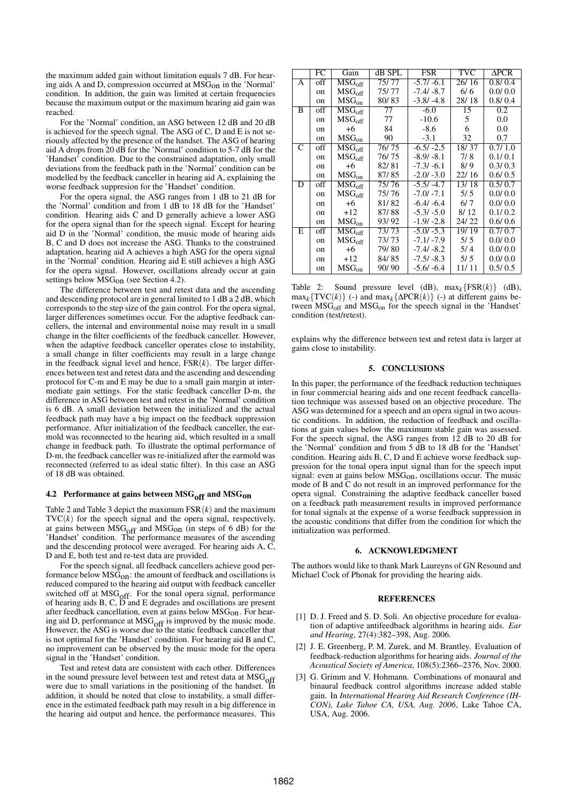the maximum added gain without limitation equals 7 dB. For hearing aids A and D, compression occurred at MSGon in the 'Normal' condition. In addition, the gain was limited at certain frequencies because the maximum output or the maximum hearing aid gain was reached.

For the 'Normal' condition, an ASG between 12 dB and 20 dB is achieved for the speech signal. The ASG of C, D and E is not seriously affected by the presence of the handset. The ASG of hearing aid A drops from 20 dB for the 'Normal' condition to 5-7 dB for the 'Handset' condition. Due to the constrained adaptation, only small deviations from the feedback path in the 'Normal' condition can be modelled by the feedback canceller in hearing aid A, explaining the worse feedback suppresion for the 'Handset' condition.

For the opera signal, the ASG ranges from 1 dB to 21 dB for the 'Normal' condition and from 1 dB to 18 dB for the 'Handset' condition. Hearing aids C and D generally achieve a lower ASG for the opera signal than for the speech signal. Except for hearing aid D in the 'Normal' condition, the music mode of hearing aids B, C and D does not increase the ASG. Thanks to the constrained adaptation, hearing aid A achieves a high ASG for the opera signal in the 'Normal' condition. Hearing aid E still achieves a high ASG for the opera signal. However, oscillations already occur at gain settings below MSG<sub>on</sub> (see Section 4.2).

The difference between test and retest data and the ascending and descending protocol are in general limited to 1 dB a 2 dB, which corresponds to the step size of the gain control. For the opera signal, larger differences sometimes occur. For the adaptive feedback cancellers, the internal and environmental noise may result in a small change in the filter coefficients of the feedback canceller. However, when the adaptive feedback canceller operates close to instability, a small change in filter coefficients may result in a large change in the feedback signal level and hence,  $\overline{FSR}(k)$ . The larger differences between test and retest data and the ascending and descending protocol for C-m and E may be due to a small gain margin at intermediate gain settings. For the static feedback canceller D-m, the difference in ASG between test and retest in the 'Normal' condition is 6 dB. A small deviation between the initialized and the actual feedback path may have a big impact on the feedback suppression performance. After initialization of the feedback canceller, the earmold was reconnected to the hearing aid, which resulted in a small change in feedback path. To illustrate the optimal performance of D-m, the feedback canceller was re-initialized after the earmold was reconnected (referred to as ideal static filter). In this case an ASG of 18 dB was obtained.

# 4.2 Performance at gains between  $MSG<sub>off</sub>$  and  $MSG<sub>on</sub>$

Table 2 and Table 3 depict the maximum FSR(*k*) and the maximum  $TVC(k)$  for the speech signal and the opera signal, respectively, at gains between  $MSG<sub>off</sub>$  and  $MSG<sub>on</sub>$  (in steps of 6 dB) for the 'Handset' condition. The performance measures of the ascending and the descending protocol were averaged. For hearing aids A, C, D and E, both test and re-test data are provided.

For the speech signal, all feedback cancellers achieve good performance below  $\text{MSG}_{\text{OD}}$ : the amount of feedback and oscillations is reduced compared to the hearing aid output with feedback canceller switched off at MSG<sub>off</sub>. For the tonal opera signal, performance of hearing aids B, C, D and E degrades and oscillations are present after feedback cancellation, even at gains below  $MSG<sub>on</sub>$ . For hearing aid D, performance at  $MSG<sub>off</sub>$  is improved by the music mode. However, the ASG is worse due to the static feedback canceller that is not optimal for the 'Handset' condition. For hearing aid B and C, no improvement can be observed by the music mode for the opera signal in the 'Handset' condition.

Test and retest data are consistent with each other. Differences in the sound pressure level between test and retest data at  $MSG<sub>off</sub>$ were due to small variations in the positioning of the handset. In addition, it should be noted that close to instability, a small difference in the estimated feedback path may result in a big difference in the hearing aid output and hence, the performance measures. This

|   | FC      | Gain                                              | dB SPL | <b>FSR</b>   | TVC   | <b>APCR</b> |
|---|---------|---------------------------------------------------|--------|--------------|-------|-------------|
| А | off     | $\overline{\mathrm{MSG}}_{\mathrm{off}}$          | 75/77  | $-5.7/ -6.1$ | 26/16 | 0.8/0.4     |
|   | on      | MSG <sub>off</sub>                                | 75/77  | $-7.4/ -8.7$ | 6/6   | 0.0/0.0     |
|   | on      | MSG <sub>on</sub>                                 | 80/83  | $-3.8/ -4.8$ | 28/18 | 0.8/0.4     |
| B | off     | MSG <sub>off</sub>                                | 77     | $-6.0$       | 15    | 0.2         |
|   | $^{on}$ | MSG <sub>off</sub>                                | 77     | $-10.6$      | 5     | 0.0         |
|   | $^{on}$ | $+6$                                              | 84     | $-8.6$       | 6     | 0.0         |
|   | on      | MSG <sub>on</sub>                                 | 90     | $-3.1$       | 32    | 0.7         |
| C | off     | $\overline{\mathrm{MS}}\mathrm{G}_{\mathrm{off}}$ | 76/75  | $-6.5/ -2.5$ | 18/37 | 0.7/1.0     |
|   | $^{on}$ | MSG <sub>off</sub>                                | 76/75  | $-8.9/ -8.1$ | 7/8   | 0.1/0.1     |
|   | on      | $+6$                                              | 82/81  | $-7.3/ -6.1$ | 8/9   | 0.3/0.3     |
|   | on      | MSG <sub>on</sub>                                 | 87/85  | $-2.0/ -3.0$ | 22/16 | 0.6/0.5     |
| D | off     | $\overline{\mathrm{MSG}}_{\mathrm{off}}$          | 75/76  | $-5.5/ -4.7$ | 13/18 | 0.5/0.7     |
|   | on      | MSG <sub>off</sub>                                | 75/76  | $-7.0/-7.1$  | 5/5   | 0.0/0.0     |
|   | on      | $+6$                                              | 81/82  | $-6.4/ -6.4$ | 6/7   | 0.0/0.0     |
|   | $^{on}$ | $+12$                                             | 87/88  | $-5.3/ -5.0$ | 8/12  | 0.1/0.2     |
|   | on      | MSG <sub>on</sub>                                 | 93/92  | $-1.9/ -2.8$ | 24/22 | 0.6/0.6     |
| E | off     | $\overline{\mathrm{MSG}}_{\mathrm{off}}$          | 73/73  | $-5.0/ -5.3$ | 19/19 | 0.7/0.7     |
|   | $^{on}$ | MSG <sub>off</sub>                                | 73/73  | $-7.1/-7.9$  | 5/5   | 0.0/0.0     |
|   | on      | $+6$                                              | 79/80  | $-7.4/ -8.2$ | 5/4   | 0.0/0.0     |
|   | on      | $+12$                                             | 84/85  | $-7.5/ -8.3$ | 5/5   | 0.0/0.0     |
|   | on      | MSG <sub>on</sub>                                 | 90/90  | $-5.6/ -6.4$ | 11/11 | 0.5/0.5     |

Table 2: Sound pressure level (dB),  $\max_k \{FSR(k)\}$  (dB),  $\max_k \{ TVC(k) \}$  (-) and  $\max_k \{ \Delta PCR(k) \}$  (-) at different gains between  $MSG<sub>off</sub>$  and  $MSG<sub>on</sub>$  for the speech signal in the 'Handset' condition (test/retest).

explains why the difference between test and retest data is larger at gains close to instability.

# 5. CONCLUSIONS

In this paper, the performance of the feedback reduction techniques in four commercial hearing aids and one recent feedback cancellation technique was assessed based on an objective procedure. The ASG was determined for a speech and an opera signal in two acoustic conditions. In addition, the reduction of feedback and oscillations at gain values below the maximum stable gain was assessed. For the speech signal, the ASG ranges from 12 dB to 20 dB for the 'Normal' condition and from 5 dB to 18 dB for the 'Handset' condition. Hearing aids B, C, D and E achieve worse feedback suppression for the tonal opera input signal than for the speech input signal: even at gains below  $\text{MSG}_{\text{on}}$ , oscillations occur. The music mode of B and C do not result in an improved performance for the opera signal. Constraining the adaptive feedback canceller based on a feedback path measurement results in improved performance for tonal signals at the expense of a worse feedback suppression in the acoustic conditions that differ from the condition for which the initialization was performed.

# 6. ACKNOWLEDGMENT

The authors would like to thank Mark Laureyns of GN Resound and Michael Cock of Phonak for providing the hearing aids.

# **REFERENCES**

- [1] D. J. Freed and S. D. Soli. An objective procedure for evaluation of adaptive antifeedback algorithms in hearing aids. *Ear and Hearing*, 27(4):382–398, Aug. 2006.
- [2] J. E. Greenberg, P. M. Zurek, and M. Brantley. Evaluation of feedback-reduction algorithms for hearing aids. *Journal of the Acoustical Society of America*, 108(5):2366–2376, Nov. 2000.
- [3] G. Grimm and V. Hohmann. Combinations of monaural and binaural feedback control algorithms increase added stable gain. In *International Hearing Aid Research Conference (IH-CON), Lake Tahoe CA, USA, Aug. 2006*, Lake Tahoe CA, USA, Aug. 2006.